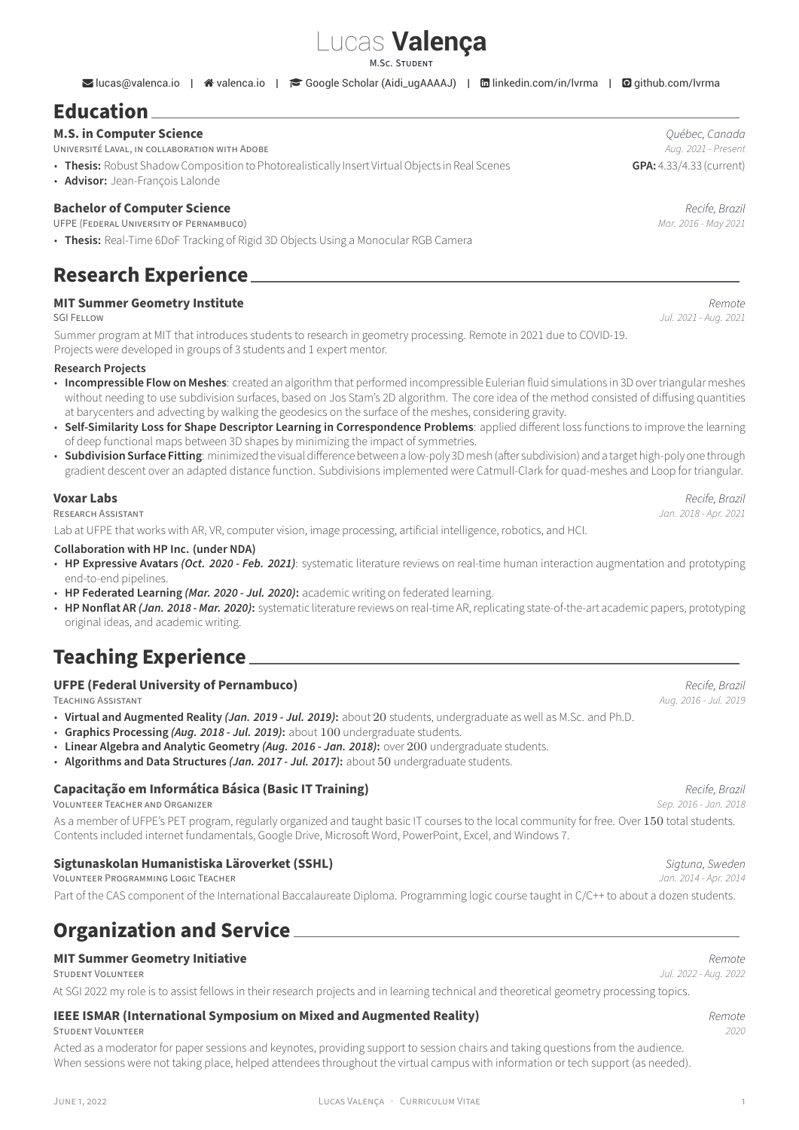# Lucas **Valença**

M.SC. STUDENT

**Elucas**@[valenca.io](https://valenca.io) | ※ valenca.io | ● [Google Scholar \(Aidi\\_ugAAAAJ\)](https://scholar.google.com/citations?user=Aidi_ugAAAAJ) | ■ [linkedin.com/in/lvrma](https://www.linkedin.com/in/lvrma) | ■ [github.com/lvrma](https://github.com/lvrma)

# **Education**

### **M.S. in Computer Science** *Québec, Canada*

UNiVERSiTÉ LAVAL, iN COLLABORATiON WiTH ADOBE *Aug. 2021 ‑ Present*

- **Thesis:** Robust Shadow Composition to Photorealistically Insert Virtual Objects in Real Scenes **GPA:** 4.33/4.33 (current)
- **Advisor:** Jean‑François Lalonde

**Bachelor of Computer Science** *Recife, Brazil* **UFPE (FEDERAL UNIVERSITY OF PERNAMBUCO)** 

• **Thesis:** Real‑Time 6DoF Tracking of Rigid 3D Objects Using a Monocular RGB Camera

### **Research Experience**

# **MIT Summer Geometry Institute** *Remote*

Summer program at MIT that introduces students to research in geometry processing. Remote in 2021 due to COVID-19. Projects were developed in groups of 3 students and 1 expert mentor.

#### **Research Projects**

- **[Incompressible Flow on Meshes](http://summergeometry.org/sgi2021/incompressible-flows-on-meshes/)**: created an algorithm that performed incompressible Eulerian fluid simulations in 3D over triangular meshes without needing to use subdivision surfaces, based on Jos Stam's 2D algorithm. The core idea of the method consisted of diffusing quantities at barycenters and advecting by walking the geodesics on the surface of the meshes, considering gravity.
- **[Self‑Similarity Loss for Shape Descriptor Learning in Correspondence Problems](http://summergeometry.org/sgi2021/self-similarity-loss-for-shape-descriptor-learning-in-correspondence-problems/)**: applied different loss functions to improve the learning of deep functional maps between 3D shapes by minimizing the impact of symmetries.
- **Subdivision Surface Fitting**: minimized the visual difference between a low-poly 3D mesh (after subdivision) and a target high-poly one through gradient descent over an adapted distance function. Subdivisions implemented were Catmull‑Clark for quad‑meshes and Loop for triangular.

#### **Voxar Labs** *Recife, Brazil*

RESEARCH ASSiSTANT *Jan. 2018 ‑ Apr. 2021*

Lab at UFPE that works with AR, VR, computer vision, image processing, artificial intelligence, robotics, and HCI.

#### **Collaboration with HP Inc. (under NDA)**

- HP Expressive Avatars *(Oct. 2020 Feb. 2021)*: systematic literature reviews on real-time human interaction augmentation and prototyping end-to-end pipelines.
- **HP Federated Learning** *(Mar. 2020 ‑ Jul. 2020)***:** academic writing on federated learning.
- **HP Nonflat AR** *(Jan. 2018 ‑ Mar. 2020)***:** systematic literature reviews on real‑time AR, replicating state‑of‑the‑art academic papers, prototyping original ideas, and academic writing.

### **Teaching Experience**

#### **UFPE (Federal University of Pernambuco)** *Recife, Brazil*

TEACHiNG ASSiSTANT *Aug. 2016 ‑ Jul. 2019*

- **Virtual and Augmented Reality** *(Jan. 2019 ‑ Jul. 2019)***:** about 20 students, undergraduate as well as M.Sc. and Ph.D.
- **Graphics Processing** *(Aug. 2018 ‑ Jul. 2019)***:** about 100 undergraduate students.
- **Linear Algebra and Analytic Geometry** *(Aug. 2016 ‑ Jan. 2018)***:** over 200 undergraduate students.
- **Algorithms and Data Structures** *(Jan. 2017 ‑ Jul. 2017)***:** about 50 undergraduate students.

#### **Capacitação em Informática Básica (Basic IT Training)** *Recife, Brazil*

VOLUNTEER TEACHER AND ORGANiZER *Sep. 2016 ‑ Jan. 2018*

As a member of UFPE's PET program, regularly organized and taught basic IT courses to the local community for free. Over 150 total students. Contents included internet fundamentals, Google Drive, Microsoft Word, PowerPoint, Excel, and Windows 7.

# **Sigtunaskolan Humanistiska Läroverket (SSHL)** *Sigtuna, Sweden*

Part of the CAS component of the International Baccalaureate Diploma. Programming logic course taught in C/C++ to about a dozen students.

### **Organization and Service**

#### **MIT Summer Geometry Initiative** *Remote*

VOLUNTEER PROGRAMMiNG LOGiC TEACHER *Jan. 2014 ‑ Apr. 2014*

At SGI 2022 my role is to assist fellows in their research projects and in learning technical and theoretical geometry processing topics.

### **IEEE ISMAR (International Symposium on Mixed and Augmented Reality)** *Remote*

STUDENT VOLUNTEER *2020*

Acted as a moderator for paper sessions and keynotes, providing support to session chairs and taking questions from the audience. When sessions were not taking place, helped attendees throughout the virtual campus with information or tech support (as needed).

STUDENT VOLUNTEER *Jul. 2022 ‑ Aug. 2022*

SGI FELLOW *Jul. 2021 ‑ Aug. 2021*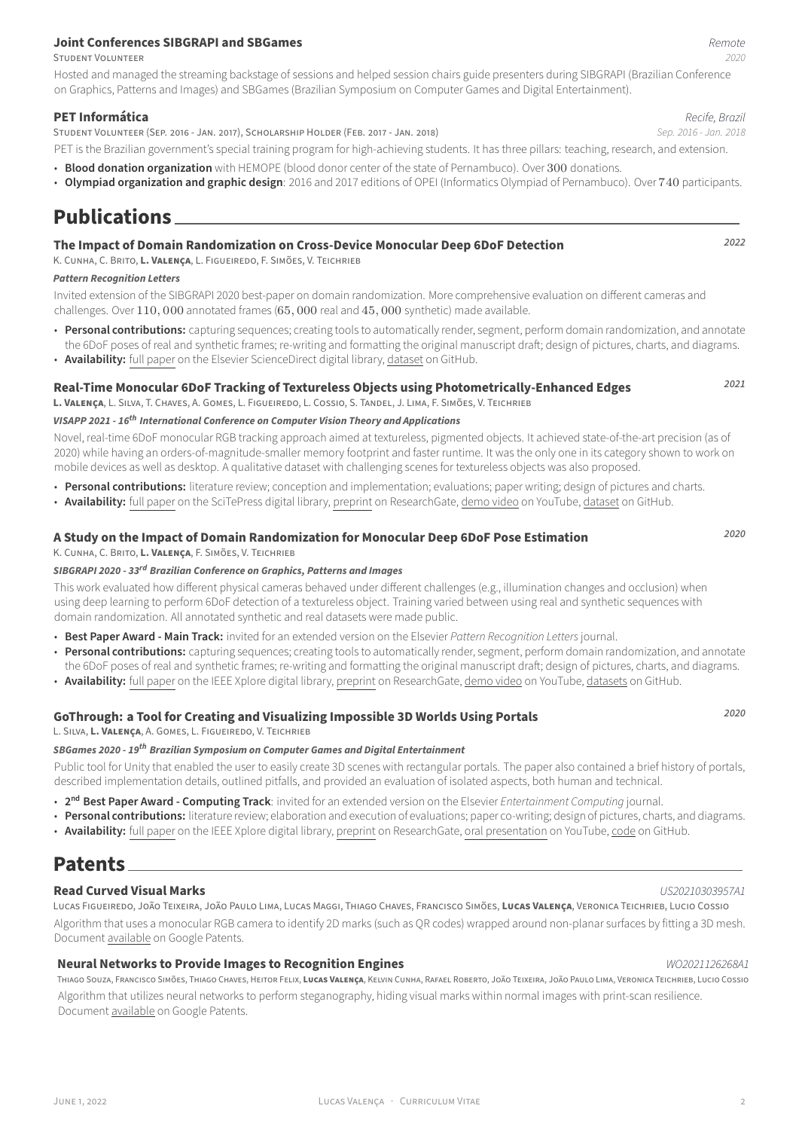# **Joint Conferences SIBGRAPI and SBGames** *Remote*

STUDENT VOLUNTEER *2020*

Hosted and managed the streaming backstage of sessions and helped session chairs guide presenters during SIBGRAPI (Brazilian Conference on Graphics, Patterns and Images) and SBGames (Brazilian Symposium on Computer Games and Digital Entertainment).

#### **PET Informática** *Recife, Brazil*

STUDENT VOLUNTEER (SEP. 2016 ‑ JAN. 2017), SCHOLARSHiP HOLDER (FEB. 2017 ‑ JAN. 2018) *Sep. 2016 ‑ Jan. 2018*

PET is the Brazilian government's special training program for high-achieving students. It has three pillars: teaching, research, and extension.

- **Blood donation organization** with HEMOPE (blood donor center of the state of Pernambuco). Over 300 donations.
- **Olympiad organization and graphic design**: 2016 and 2017 editions of OPEI (Informatics Olympiad of Pernambuco). Over 740 participants.

### **Publications**

### **The Impact of Domain Randomization on Cross‑Device Monocular Deep 6DoF Detection** *<sup>2022</sup>*

K. CUNHA, C. BRiTO, **L. VALENÇA**, L. FiGUEiREDO, F. SiMÕES, V. TEiCHRiEB

#### *Pattern Recognition Letters*

Invited extension of the SIBGRAPI 2020 best-paper on domain randomization. More comprehensive evaluation on different cameras and challenges. Over 110, 000 annotated frames (65, 000 real and 45, 000 synthetic) made available.

- **Personal contributions:** capturing sequences; creating tools to automatically render, segment, perform domain randomization, and annotate the 6DoF poses of real and synthetic frames; re‑writing and formatting the original manuscript draft; design of pictures, charts, and diagrams.
- Availability: [full paper](https://www.sciencedirect.com/science/article/abs/pii/S0167865522001040) on the Elsevier ScienceDirect digital library, [dataset](https://github.com/o-kbc/eC3PO) on GitHub.

### **Real‑Time Monocular 6DoF Tracking of Textureless Objects using Photometrically‑Enhanced Edges** *<sup>2021</sup>*

**L. VALENÇA**, L. SiLVA, T. CHAVES, A. GOMES, L. FiGUEiREDO, L. COSSiO, S. TANDEL, J. LiMA, F. SiMÕES, V. TEiCHRiEB

#### *VISAPP 2021 ‑ 16th International Conference on Computer Vision Theory and Applications*

Novel, real-time 6DoF monocular RGB tracking approach aimed at textureless, pigmented objects. It achieved state-of-the-art precision (as of 2020) while having an orders‑of‑magnitude‑smaller memory footprint and faster runtime. It was the only one in its category shown to work on mobile devices as well as desktop. A qualitative dataset with challenging scenes for textureless objects was also proposed.

- **Personal contributions:** literature review; conception and implementation; evaluations; paper writing; design of pictures and charts.
- Availability: [full paper](https://www.scitepress.org/PublicationsDetail.aspx?ID=MXxOcknjAUU=&t=1) on the SciTePress digital library, [preprint](https://www.researchgate.net/publication/349388217_Real-time_Monocular_6DoF_Tracking_of_Textureless_Objects_using_Photometrically-enhanced_Edges) on ResearchGate, [demo video](https://youtu.be/PGJkgiA23Z0) on YouTube, [dataset](https://github.com/voxarlabs/3DPO-Dataset) on GitHub.

### **A Study on the Impact of Domain Randomization for Monocular Deep 6DoF Pose Estimation** *<sup>2020</sup>*

K. CUNHA, C. BRiTO, **L. VALENÇA**, F. SiMÕES, V. TEiCHRiEB

#### *SIBGRAPI 2020 ‑ 33rd Brazilian Conference on Graphics, Patterns and Images*

This work evaluated how different physical cameras behaved under different challenges (e.g., illumination changes and occlusion) when using deep learning to perform 6DoF detection of a textureless object. Training varied between using real and synthetic sequences with domain randomization. All annotated synthetic and real datasets were made public.

- **Best Paper Award ‑ Main Track:** invited for an extended version on the Elsevier *Pattern Recognition Letters* journal.
- **Personal contributions:** capturing sequences; creating tools to automatically render, segment, perform domain randomization, and annotate the 6DoF poses of real and synthetic frames; re-writing and formatting the original manuscript draft; design of pictures, charts, and diagrams.
- **Availability:** [full paper](https://ieeexplore.ieee.org/abstract/document/9266023) on the IEEE Xplore digital library, [preprint](https://www.researchgate.net/publication/347174900_A_Study_on_the_Impact_of_Domain_Randomization_for_Monocular_Deep_6DoF_Pose_Estimation) on ResearchGate, [demo video](https://www.youtube.com/watch?v=JfPdDvwDvqw) on YouTube, [datasets](https://github.com/Kelvin-Cunha/3dprinted-objects-6dof) on GitHub.

### **GoThrough: a Tool for Creating and Visualizing Impossible 3D Worlds Using Portals** *<sup>2020</sup>*

L. SiLVA, **L. VALENÇA**, A. GOMES, L. FiGUEiREDO, V. TEiCHRiEB

#### *SBGames 2020 ‑ 19th Brazilian Symposium on Computer Games and Digital Entertainment*

Public tool for Unity that enabled the user to easily create 3D scenes with rectangular portals. The paper also contained a brief history of portals, described implementation details, outlined pitfalls, and provided an evaluation of isolated aspects, both human and technical.

- **2 nd Best Paper Award ‑ Computing Track**: invited for an extended version on the Elsevier *Entertainment Computing* journal.
- Personal contributions: literature review; elaboration and execution of evaluations; paper co-writing; design of pictures, charts, and diagrams. • **Availability:** [full paper](https://ieeexplore.ieee.org/abstract/document/9291592/) on the IEEE Xplore digital library, [preprint](https://www.researchgate.net/publication/347979413_GoThrough_a_Tool_for_Creating_and_Visualizing_Impossible_3D_Worlds_Using_Portals) on ResearchGate, [oral presentation](https://www.youtube.com/watch?v=1EzDtZ9z3Rw) on YouTube, [code](https://github.com/lams3/GoThrough) on GitHub.

### **Patents**

#### **Read Curved Visual Marks** *US20210303957A1*

LUCAS FiGUEiREDO, JOÃO TEiXEiRA, JOÃO PAULO LiMA, LUCAS MAGGi, THiAGO CHAVES, FRANCiSCO SiMÕES, **LUCAS VALENÇA**, VERONiCA TEiCHRiEB, LUCiO COSSiO Algorithm that uses a monocular RGB camera to identify 2D marks (such as QR codes) wrapped around non‑planar surfaces by fitting a 3D mesh. Document [available](https://patents.google.com/patent/US20210303957A1/en) on Google Patents.

#### **Neural Networks to Provide Images to Recognition Engines** *WO2021126268A1*

THiAGO SOUZA, FRANCiSCO SiMÕES, THiAGO CHAVES, HEiTOR FELiX, **LUCAS VALENÇA**, KELViN CUNHA, RAFAEL ROBERTO, JOÃO TEiXEiRA, JOÃO PAULO LiMA, VERONiCA TEiCHRiEB, LUCiO COSSiO Algorithm that utilizes neural networks to perform steganography, hiding visual marks within normal images with print‑scan resilience. Document [available](https://patents.google.com/patent/WO2021126268A1/en) on Google Patents.